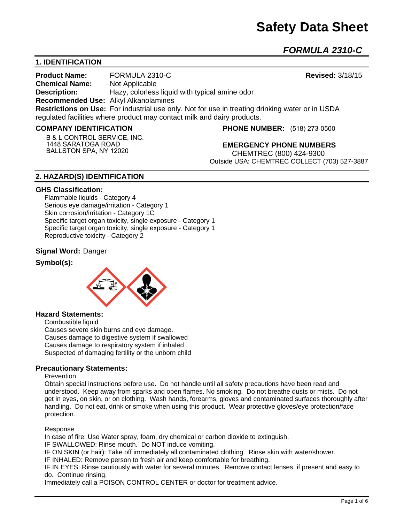*FORMULA 2310-C* 

## **1. IDENTIFICATION**

**Product Name:** FORMULA 2310-C **Revised:** 3/18/15 **Chemical Name:** Not Applicable **Description:** Hazy, colorless liquid with typical amine odor **Recommended Use:** Alkyl Alkanolamines **Restrictions on Use:** For industrial use only. Not for use in treating drinking water or in USDA regulated facilities where product may contact milk and dairy products.

### **COMPANY IDENTIFICATION**

**B & L CONTROL SERVICE, INC. 1448 SARATOGA ROAD BALLSTON SPA, NY 12020**

**PHONE NUMBER:** (518) 273-0500

**EMERGENCY PHONE NUMBERS** CHEMTREC (800) 424-9300 Outside USA: CHEMTREC COLLECT (703) 527-3887

## **2. HAZARD(S) IDENTIFICATION**

#### **GHS Classification:**

Flammable liquids - Category 4 Serious eye damage/irritation - Category 1 Skin corrosion/irritation - Category 1C Specific target organ toxicity, single exposure - Category 1 Specific target organ toxicity, single exposure - Category 1 Reproductive toxicity - Category 2

### **Signal Word:** Danger

### **Symbol(s):**



#### **Hazard Statements:**

Combustible liquid

Causes severe skin burns and eye damage. Causes damage to digestive system if swallowed Causes damage to respiratory system if inhaled Suspected of damaging fertility or the unborn child

## **Precautionary Statements:**

#### **Prevention**

Obtain special instructions before use. Do not handle until all safety precautions have been read and understood. Keep away from sparks and open flames. No smoking. Do not breathe dusts or mists. Do not get in eyes, on skin, or on clothing. Wash hands, forearms, gloves and contaminated surfaces thoroughly after handling. Do not eat, drink or smoke when using this product. Wear protective gloves/eye protection/face protection.

#### Response

In case of fire: Use Water spray, foam, dry chemical or carbon dioxide to extinguish.

IF SWALLOWED: Rinse mouth. Do NOT induce vomiting.

IF ON SKIN (or hair): Take off immediately all contaminated clothing. Rinse skin with water/shower.

IF INHALED: Remove person to fresh air and keep comfortable for breathing.

IF IN EYES: Rinse cautiously with water for several minutes. Remove contact lenses, if present and easy to do. Continue rinsing.

Immediately call a POISON CONTROL CENTER or doctor for treatment advice.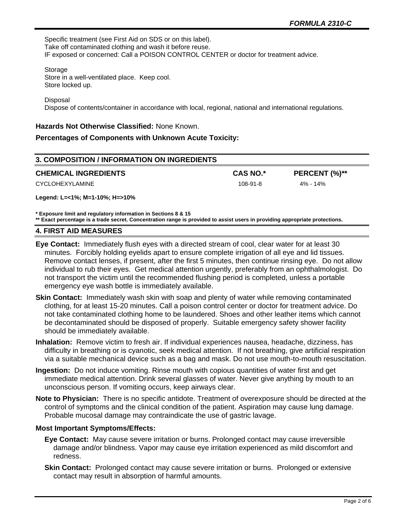Specific treatment (see First Aid on SDS or on this label). Take off contaminated clothing and wash it before reuse. IF exposed or concerned: Call a POISON CONTROL CENTER or doctor for treatment advice.

Storage Store in a well-ventilated place. Keep cool. Store locked up.

Disposal

Dispose of contents/container in accordance with local, regional, national and international regulations.

### **Hazards Not Otherwise Classified:** None Known.

## **Percentages of Components with Unknown Acute Toxicity:**

| 3. COMPOSITION / INFORMATION ON INGREDIENTS |                 |               |  |  |
|---------------------------------------------|-----------------|---------------|--|--|
| <b>CHEMICAL INGREDIENTS</b>                 | <b>CAS NO.*</b> | PERCENT (%)** |  |  |
| CYCLOHEXYLAMINE                             | $108-91-8$      | 4% - 14%      |  |  |

**Legend: L=<1%; M=1-10%; H=>10%**

**\* Exposure limit and regulatory information in Sections 8 & 15**

**\*\* Exact percentage is a trade secret. Concentration range is provided to assist users in providing appropriate protections.**

### **4. FIRST AID MEASURES**

- **Eye Contact:** Immediately flush eyes with a directed stream of cool, clear water for at least 30 minutes. Forcibly holding eyelids apart to ensure complete irrigation of all eye and lid tissues. Remove contact lenses, if present, after the first 5 minutes, then continue rinsing eye. Do not allow individual to rub their eyes. Get medical attention urgently, preferably from an ophthalmologist. Do not transport the victim until the recommended flushing period is completed, unless a portable emergency eye wash bottle is immediately available.
- **Skin Contact:** Immediately wash skin with soap and plenty of water while removing contaminated clothing, for at least 15-20 minutes. Call a poison control center or doctor for treatment advice. Do not take contaminated clothing home to be laundered. Shoes and other leather items which cannot be decontaminated should be disposed of properly. Suitable emergency safety shower facility should be immediately available.
- **Inhalation:** Remove victim to fresh air. If individual experiences nausea, headache, dizziness, has difficulty in breathing or is cyanotic, seek medical attention. If not breathing, give artificial respiration via a suitable mechanical device such as a bag and mask. Do not use mouth-to-mouth resuscitation.
- **Ingestion:** Do not induce vomiting. Rinse mouth with copious quantities of water first and get immediate medical attention. Drink several glasses of water. Never give anything by mouth to an unconscious person. If vomiting occurs, keep airways clear.
- **Note to Physician:** There is no specific antidote. Treatment of overexposure should be directed at the control of symptoms and the clinical condition of the patient. Aspiration may cause lung damage. Probable mucosal damage may contraindicate the use of gastric lavage.

## **Most Important Symptoms/Effects:**

- **Eye Contact:** May cause severe irritation or burns. Prolonged contact may cause irreversible damage and/or blindness. Vapor may cause eye irritation experienced as mild discomfort and redness.
- **Skin Contact:** Prolonged contact may cause severe irritation or burns. Prolonged or extensive contact may result in absorption of harmful amounts.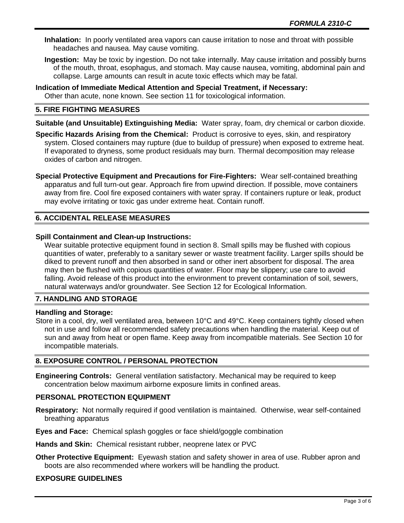**Inhalation:** In poorly ventilated area vapors can cause irritation to nose and throat with possible headaches and nausea. May cause vomiting.

- **Ingestion:** May be toxic by ingestion. Do not take internally. May cause irritation and possibly burns of the mouth, throat, esophagus, and stomach. May cause nausea, vomiting, abdominal pain and collapse. Large amounts can result in acute toxic effects which may be fatal.
- **Indication of Immediate Medical Attention and Special Treatment, if Necessary:** Other than acute, none known. See section 11 for toxicological information.

## **5. FIRE FIGHTING MEASURES**

**Suitable (and Unsuitable) Extinguishing Media:** Water spray, foam, dry chemical or carbon dioxide.

- **Specific Hazards Arising from the Chemical:** Product is corrosive to eyes, skin, and respiratory system. Closed containers may rupture (due to buildup of pressure) when exposed to extreme heat. If evaporated to dryness, some product residuals may burn. Thermal decomposition may release oxides of carbon and nitrogen.
- **Special Protective Equipment and Precautions for Fire-Fighters:** Wear self-contained breathing apparatus and full turn-out gear. Approach fire from upwind direction. If possible, move containers away from fire. Cool fire exposed containers with water spray. If containers rupture or leak, product may evolve irritating or toxic gas under extreme heat. Contain runoff.

## **6. ACCIDENTAL RELEASE MEASURES**

### **Spill Containment and Clean-up Instructions:**

Wear suitable protective equipment found in section 8. Small spills may be flushed with copious quantities of water, preferably to a sanitary sewer or waste treatment facility. Larger spills should be diked to prevent runoff and then absorbed in sand or other inert absorbent for disposal. The area may then be flushed with copious quantities of water. Floor may be slippery; use care to avoid falling. Avoid release of this product into the environment to prevent contamination of soil, sewers, natural waterways and/or groundwater. See Section 12 for Ecological Information.

## **7. HANDLING AND STORAGE**

## **Handling and Storage:**

Store in a cool, dry, well ventilated area, between 10°C and 49°C. Keep containers tightly closed when not in use and follow all recommended safety precautions when handling the material. Keep out of sun and away from heat or open flame. Keep away from incompatible materials. See Section 10 for incompatible materials.

## **8. EXPOSURE CONTROL / PERSONAL PROTECTION**

**Engineering Controls:** General ventilation satisfactory. Mechanical may be required to keep concentration below maximum airborne exposure limits in confined areas.

## **PERSONAL PROTECTION EQUIPMENT**

**Respiratory:** Not normally required if good ventilation is maintained. Otherwise, wear self-contained breathing apparatus

**Eyes and Face:** Chemical splash goggles or face shield/goggle combination

**Hands and Skin:** Chemical resistant rubber, neoprene latex or PVC

**Other Protective Equipment:** Eyewash station and safety shower in area of use. Rubber apron and boots are also recommended where workers will be handling the product.

## **EXPOSURE GUIDELINES**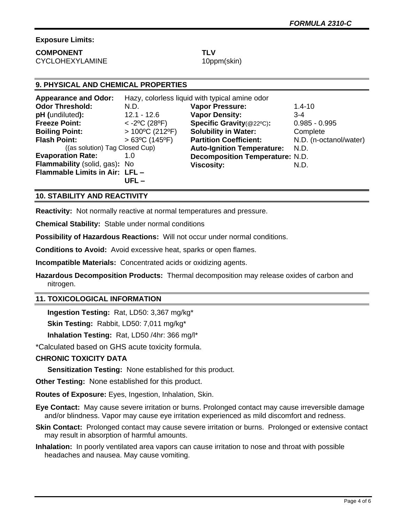## **Exposure Limits:**

## **COMPONENT TLV** CYCLOHEXYLAMINE 10ppm(skin)

# **9. PHYSICAL AND CHEMICAL PROPERTIES**

| <b>Appearance and Odor:</b>    | Hazy, colorless liquid with typical amine odor |                                        |                        |
|--------------------------------|------------------------------------------------|----------------------------------------|------------------------|
| <b>Odor Threshold:</b>         | N.D.                                           | <b>Vapor Pressure:</b>                 | $1.4 - 10$             |
| pH (undiluted):                | $12.1 - 12.6$                                  | <b>Vapor Density:</b>                  | $3 - 4$                |
| <b>Freeze Point:</b>           | $<$ -2°C (28°F)                                | Specific Gravity(@22°C):               | $0.985 - 0.995$        |
| <b>Boiling Point:</b>          | $>100^{\circ}$ C (212°F)                       | <b>Solubility in Water:</b>            | Complete               |
| <b>Flash Point:</b>            | $>63^{\circ}$ C (145°F)                        | <b>Partition Coefficient:</b>          | N.D. (n-octanol/water) |
| ((as solution) Tag Closed Cup) |                                                | <b>Auto-Ignition Temperature:</b>      | N.D.                   |
| <b>Evaporation Rate:</b>       | 1.0                                            | <b>Decomposition Temperature: N.D.</b> |                        |
| Flammability (solid, gas): No  |                                                | <b>Viscosity:</b>                      | N.D.                   |
| Flammable Limits in Air: LFL - |                                                |                                        |                        |
|                                | UFL –                                          |                                        |                        |

## **10. STABILITY AND REACTIVITY**

**Reactivity:** Not normally reactive at normal temperatures and pressure.

**Chemical Stability:** Stable under normal conditions

**Possibility of Hazardous Reactions:** Will not occur under normal conditions.

**Conditions to Avoid:** Avoid excessive heat, sparks or open flames.

**Incompatible Materials:** Concentrated acids or oxidizing agents.

**Hazardous Decomposition Products:** Thermal decomposition may release oxides of carbon and nitrogen.

## **11. TOXICOLOGICAL INFORMATION**

**Ingestion Testing:** Rat, LD50: 3,367 mg/kg\*

**Skin Testing:** Rabbit, LD50: 7,011 mg/kg\*

**Inhalation Testing:** Rat, LD50 /4hr: 366 mg/l\*

\*Calculated based on GHS acute toxicity formula.

## **CHRONIC TOXICITY DATA**

**Sensitization Testing:** None established for this product.

**Other Testing:** None established for this product.

**Routes of Exposure:** Eyes, Ingestion, Inhalation, Skin.

**Eye Contact:** May cause severe irritation or burns. Prolonged contact may cause irreversible damage and/or blindness. Vapor may cause eye irritation experienced as mild discomfort and redness.

- **Skin Contact:** Prolonged contact may cause severe irritation or burns. Prolonged or extensive contact may result in absorption of harmful amounts.
- **Inhalation:** In poorly ventilated area vapors can cause irritation to nose and throat with possible headaches and nausea. May cause vomiting.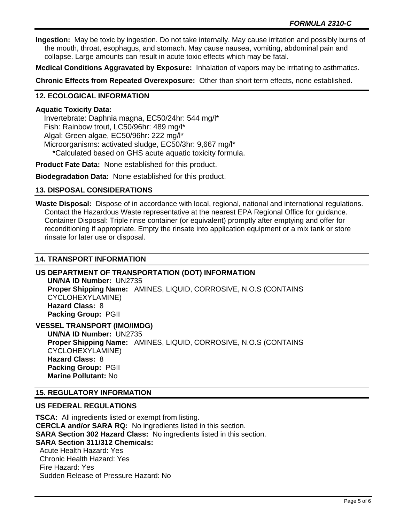**Ingestion:** May be toxic by ingestion. Do not take internally. May cause irritation and possibly burns of the mouth, throat, esophagus, and stomach. May cause nausea, vomiting, abdominal pain and collapse. Large amounts can result in acute toxic effects which may be fatal.

**Medical Conditions Aggravated by Exposure:** Inhalation of vapors may be irritating to asthmatics.

**Chronic Effects from Repeated Overexposure:** Other than short term effects, none established.

## **12. ECOLOGICAL INFORMATION**

## **Aquatic Toxicity Data:**

 Invertebrate: Daphnia magna, EC50/24hr: 544 mg/l\* Fish: Rainbow trout, LC50/96hr: 489 mg/l\* Algal: Green algae, EC50/96hr: 222 mg/l\* Microorganisms: activated sludge, EC50/3hr: 9,667 mg/l\* \*Calculated based on GHS acute aquatic toxicity formula.

**Product Fate Data:** None established for this product.

**Biodegradation Data:** None established for this product.

## **13. DISPOSAL CONSIDERATIONS**

**Waste Disposal:** Dispose of in accordance with local, regional, national and international regulations. Contact the Hazardous Waste representative at the nearest EPA Regional Office for guidance. Container Disposal: Triple rinse container (or equivalent) promptly after emptying and offer for reconditioning if appropriate. Empty the rinsate into application equipment or a mix tank or store rinsate for later use or disposal.

## **14. TRANSPORT INFORMATION**

## **US DEPARTMENT OF TRANSPORTATION (DOT) INFORMATION**

**UN/NA ID Number:** UN2735 **Proper Shipping Name:** AMINES, LIQUID, CORROSIVE, N.O.S (CONTAINS CYCLOHEXYLAMINE) **Hazard Class:** 8 **Packing Group:** PGII

**VESSEL TRANSPORT (IMO/IMDG)**

**UN/NA ID Number:** UN2735 **Proper Shipping Name:** AMINES, LIQUID, CORROSIVE, N.O.S (CONTAINS CYCLOHEXYLAMINE) **Hazard Class:** 8 **Packing Group:** PGII **Marine Pollutant:** No

## **15. REGULATORY INFORMATION**

## **US FEDERAL REGULATIONS**

**TSCA:** All ingredients listed or exempt from listing. **CERCLA and/or SARA RQ:** No ingredients listed in this section. **SARA Section 302 Hazard Class:** No ingredients listed in this section. **SARA Section 311/312 Chemicals:**  Acute Health Hazard: Yes Chronic Health Hazard: Yes

 Fire Hazard: Yes Sudden Release of Pressure Hazard: No